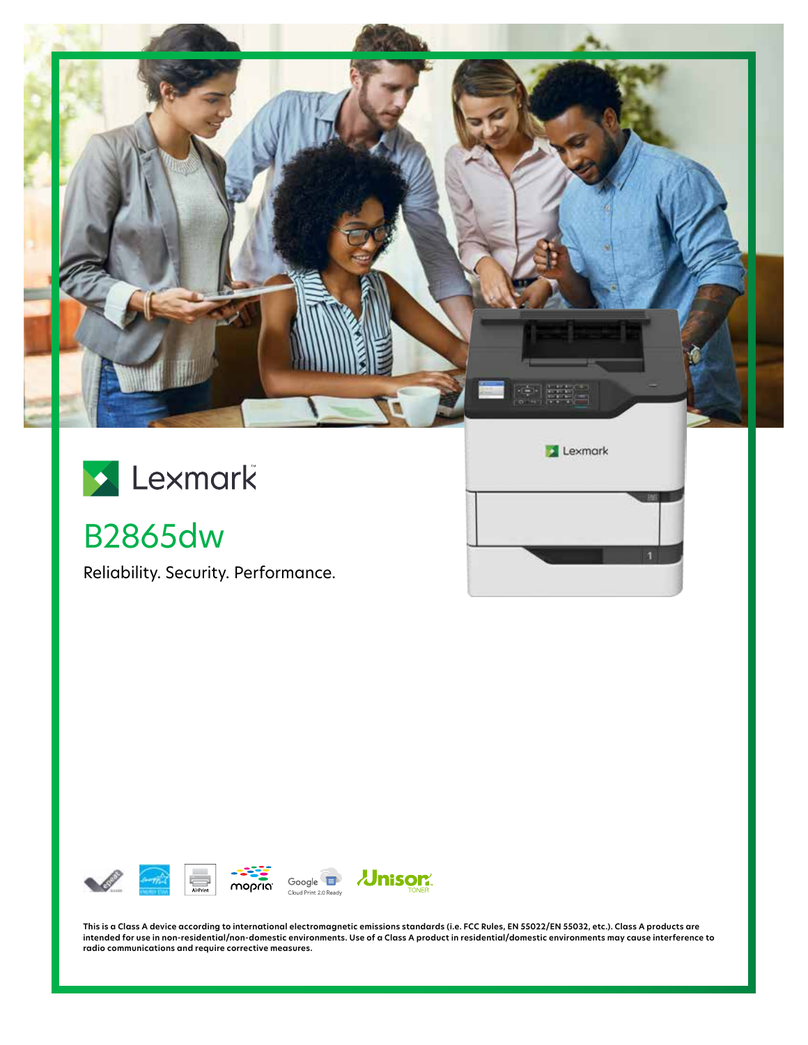

n

# Lexmark

## B2865dw

Reliability. Security. Performance.



**This is a Class A device according to international electromagnetic emissions standards (i.e. FCC Rules, EN 55022/EN 55032, etc.). Class A products are intended for use in non-residential/non-domestic environments. Use of a Class A product in residential/domestic environments may cause interference to radio communications and require corrective measures.**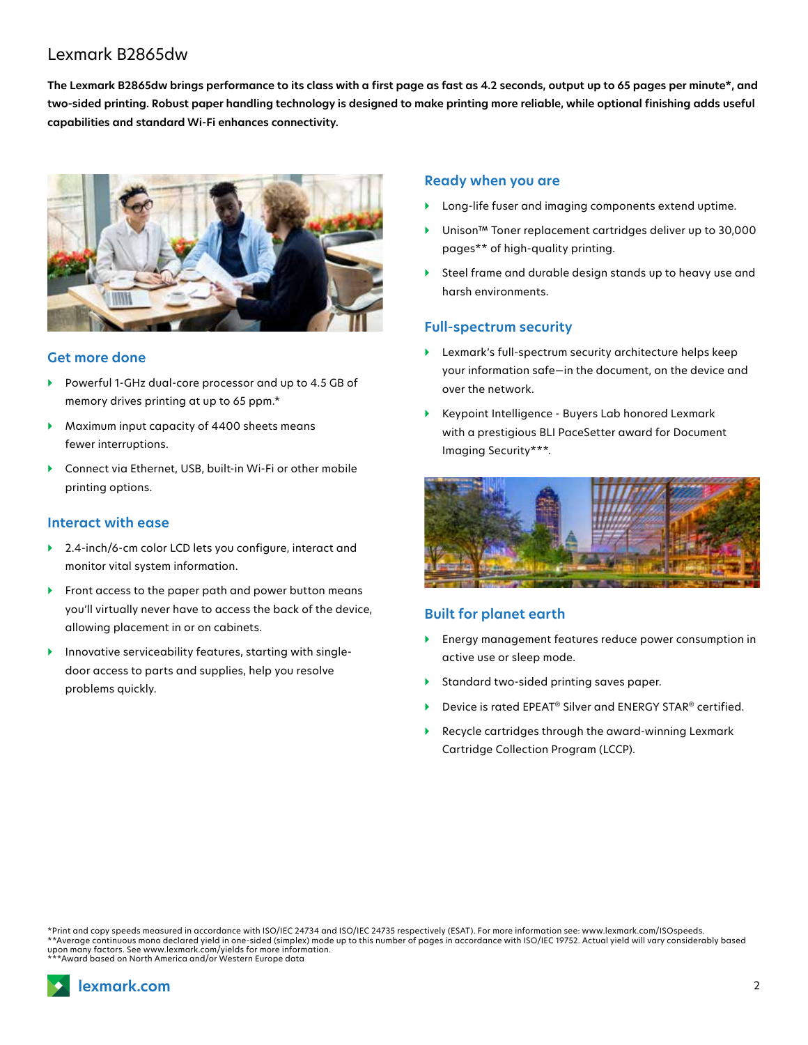### Lexmark B2865dw

**The Lexmark B2865dw brings performance to its class with a first page as fast as 4.2 seconds, output up to 65 pages per minute\*, and two-sided printing. Robust paper handling technology is designed to make printing more reliable, while optional finishing adds useful capabilities and standard Wi-Fi enhances connectivity.**



#### **Get more done**

- } Powerful 1-GHz dual-core processor and up to 4.5 GB of memory drives printing at up to 65 ppm.\*
- } Maximum input capacity of 4400 sheets means fewer interruptions.
- ▶ Connect via Ethernet, USB, built-in Wi-Fi or other mobile printing options.

#### **Interact with ease**

- ▶ 2.4-inch/6-cm color LCD lets you configure, interact and monitor vital system information.
- } Front access to the paper path and power button means you'll virtually never have to access the back of the device, allowing placement in or on cabinets.
- Innovative serviceability features, starting with singledoor access to parts and supplies, help you resolve problems quickly.

#### **Ready when you are**

- } Long-life fuser and imaging components extend uptime.
- } Unison™ Toner replacement cartridges deliver up to 30,000 pages\*\* of high-quality printing.
- } Steel frame and durable design stands up to heavy use and harsh environments.

#### **Full-spectrum security**

- } Lexmark's full-spectrum security architecture helps keep your information safe—in the document, on the device and over the network.
- } Keypoint Intelligence Buyers Lab honored Lexmark with a prestigious BLI PaceSetter award for Document Imaging Security\*\*\*.



#### **Built for planet earth**

- } Energy management features reduce power consumption in active use or sleep mode.
- Standard two-sided printing saves paper.
- } Device is rated EPEAT® Silver and ENERGY STAR® certified.
- } Recycle cartridges through the award-winning Lexmark Cartridge Collection Program (LCCP).

\*Print and copy speeds measured in accordance with ISO/IEC 24734 and ISO/IEC 24735 respectively (ESAT). For more information see: www.lexmark.com/ISOspeeds. \*\*Average continuous mono declared yield in one-sided (simplex) mode up to this number of pages in accordance with ISO/IEC 19752. Actual yield will vary considerably based upon many factors. See www.lexmark.com/yields for more information. \*\*\*Award based on North America and/or Western Europe data

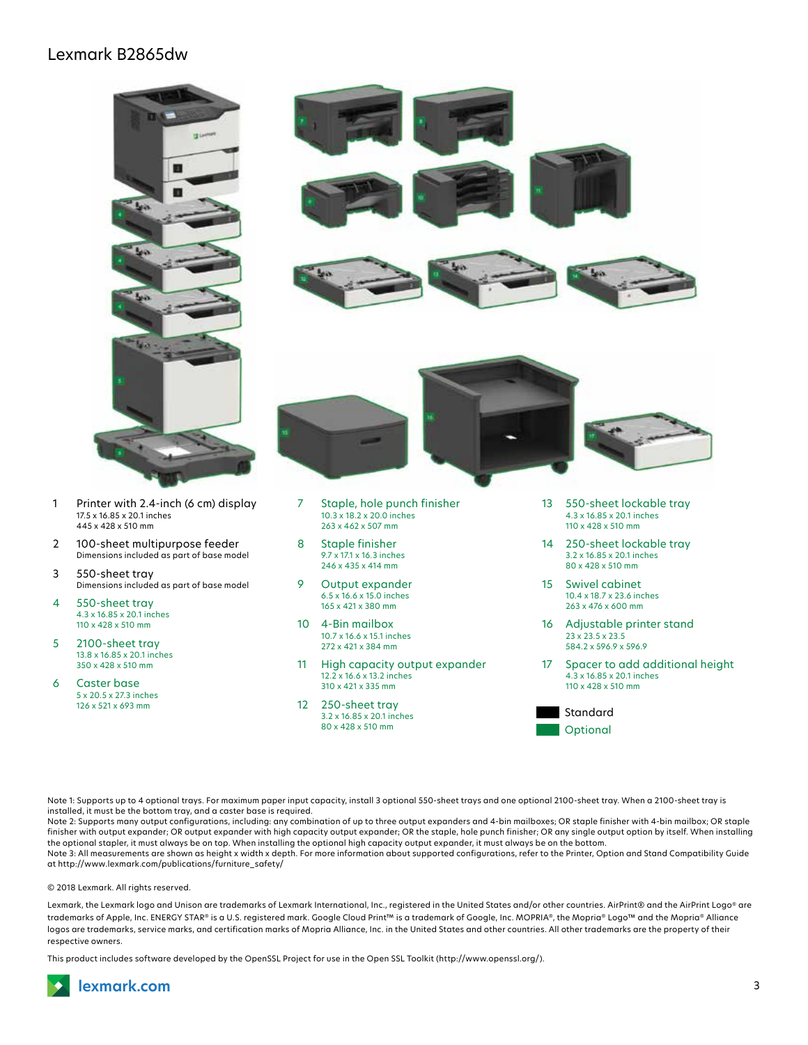### Lexmark B2865dw



- 1 Printer with 2.4-inch (6 cm) display 17.5 x 16.85 x 20.1 inches 445 x 428 x 510 mm
- 2 100-sheet multipurpose feeder Dimensions included as part of base model
- 3 550-sheet tray Dimensions included as part of base model
- 4 550-sheet tray 4.3 x 16.85 x 20.1 inches 110 x 428 x 510 mm
- 5 2100-sheet tray 13.8 x 16.85 x 20.1 inches 350 x 428 x 510 mm
- 6 Caster base 5 x 20.5 x 27.3 inches 126 x 521 x 693 mm



- 15 Swivel cabinet 10.4 x 18.7 x 23.6 inches 263 x 476 x 600 mm
- 16 Adjustable printer stand 23 x 23.5 x 23.5 584.2 x 596.9 x 596.9
- 17 Spacer to add additional height 4.3 x 16.85 x 20.1 inches 110 x 428 x 510 mm



Note 1: Supports up to 4 optional trays. For maximum paper input capacity, install 3 optional 550-sheet trays and one optional 2100-sheet tray. When a 2100-sheet tray is installed, it must be the bottom tray, and a caster base is required.

11 High capacity output expander 12.2 x 16.6 x 13.2 inches 310 x 421 x 335 mm 12 250-sheet tray 3.2 x 16.85 x 20.1 inches 80 x 428 x 510 mm

9 Output expander 6.5 x 16.6 x 15.0 inches 165 x 421 x 380 mm 10 4-Bin mailbox 10.7 x 16.6 x 15.1 inches 272 x 421 x 384 mm

Note 2: Supports many output configurations, including: any combination of up to three output expanders and 4-bin mailboxes; OR staple finisher with 4-bin mailbox; OR staple finisher with output expander; OR output expander with high capacity output expander; OR the staple, hole punch finisher; OR any single output option by itself. When installing the optional stapler, it must always be on top. When installing the optional high capacity output expander, it must always be on the bottom.

Note 3: All measurements are shown as height x width x depth. For more information about supported configurations, refer to the Printer, Option and Stand Compatibility Guide at http://www.lexmark.com/publications/furniture\_safety/

#### © 2018 Lexmark. All rights reserved.

Lexmark, the Lexmark logo and Unison are trademarks of Lexmark International, Inc., registered in the United States and/or other countries. AirPrint® and the AirPrint Logo® are trademarks of Apple, Inc. ENERGY STAR® is a U.S. registered mark. Google Cloud Print™ is a trademark of Google, Inc. MOPRIA®, the Mopria® Logo™ and the Mopria® Alliance logos are trademarks, service marks, and certification marks of Mopria Alliance, Inc. in the United States and other countries. All other trademarks are the property of their respective owners.

This product includes software developed by the OpenSSL Project for use in the Open SSL Toolkit (http://www.openssl.org/).